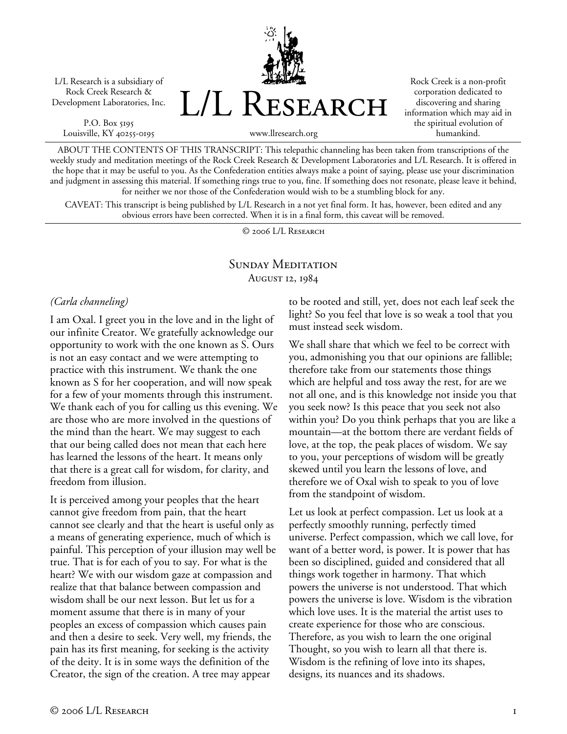L/L Research is a subsidiary of Rock Creek Research & Development Laboratories, Inc.

P.O. Box 5195 Louisville, KY 40255-0195



Rock Creek is a non-profit corporation dedicated to discovering and sharing information which may aid in the spiritual evolution of humankind.

www.llresearch.org

ABOUT THE CONTENTS OF THIS TRANSCRIPT: This telepathic channeling has been taken from transcriptions of the weekly study and meditation meetings of the Rock Creek Research & Development Laboratories and L/L Research. It is offered in the hope that it may be useful to you. As the Confederation entities always make a point of saying, please use your discrimination and judgment in assessing this material. If something rings true to you, fine. If something does not resonate, please leave it behind, for neither we nor those of the Confederation would wish to be a stumbling block for any.

CAVEAT: This transcript is being published by L/L Research in a not yet final form. It has, however, been edited and any obvious errors have been corrected. When it is in a final form, this caveat will be removed.

© 2006 L/L Research

# SUNDAY MEDITATION August 12, 1984

## *(Carla channeling)*

I am Oxal. I greet you in the love and in the light of our infinite Creator. We gratefully acknowledge our opportunity to work with the one known as S. Ours is not an easy contact and we were attempting to practice with this instrument. We thank the one known as S for her cooperation, and will now speak for a few of your moments through this instrument. We thank each of you for calling us this evening. We are those who are more involved in the questions of the mind than the heart. We may suggest to each that our being called does not mean that each here has learned the lessons of the heart. It means only that there is a great call for wisdom, for clarity, and freedom from illusion.

It is perceived among your peoples that the heart cannot give freedom from pain, that the heart cannot see clearly and that the heart is useful only as a means of generating experience, much of which is painful. This perception of your illusion may well be true. That is for each of you to say. For what is the heart? We with our wisdom gaze at compassion and realize that that balance between compassion and wisdom shall be our next lesson. But let us for a moment assume that there is in many of your peoples an excess of compassion which causes pain and then a desire to seek. Very well, my friends, the pain has its first meaning, for seeking is the activity of the deity. It is in some ways the definition of the Creator, the sign of the creation. A tree may appear

to be rooted and still, yet, does not each leaf seek the light? So you feel that love is so weak a tool that you must instead seek wisdom.

We shall share that which we feel to be correct with you, admonishing you that our opinions are fallible; therefore take from our statements those things which are helpful and toss away the rest, for are we not all one, and is this knowledge not inside you that you seek now? Is this peace that you seek not also within you? Do you think perhaps that you are like a mountain—at the bottom there are verdant fields of love, at the top, the peak places of wisdom. We say to you, your perceptions of wisdom will be greatly skewed until you learn the lessons of love, and therefore we of Oxal wish to speak to you of love from the standpoint of wisdom.

Let us look at perfect compassion. Let us look at a perfectly smoothly running, perfectly timed universe. Perfect compassion, which we call love, for want of a better word, is power. It is power that has been so disciplined, guided and considered that all things work together in harmony. That which powers the universe is not understood. That which powers the universe is love. Wisdom is the vibration which love uses. It is the material the artist uses to create experience for those who are conscious. Therefore, as you wish to learn the one original Thought, so you wish to learn all that there is. Wisdom is the refining of love into its shapes, designs, its nuances and its shadows.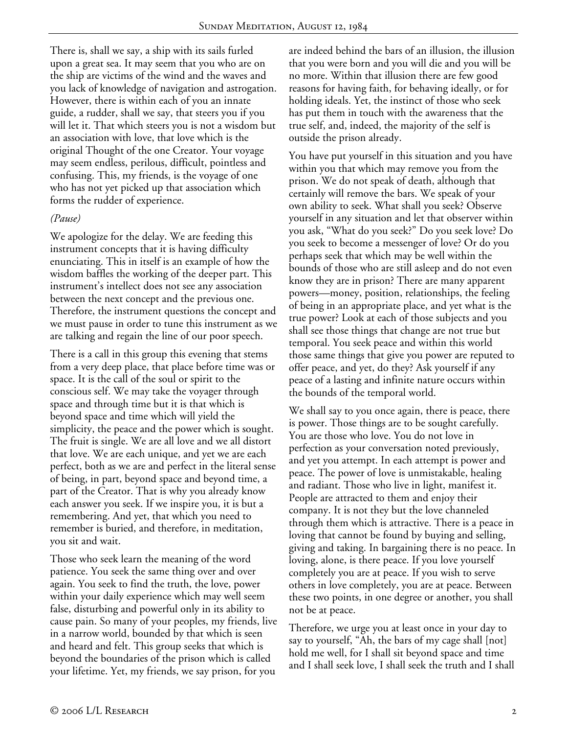There is, shall we say, a ship with its sails furled upon a great sea. It may seem that you who are on the ship are victims of the wind and the waves and you lack of knowledge of navigation and astrogation. However, there is within each of you an innate guide, a rudder, shall we say, that steers you if you will let it. That which steers you is not a wisdom but an association with love, that love which is the original Thought of the one Creator. Your voyage may seem endless, perilous, difficult, pointless and confusing. This, my friends, is the voyage of one who has not yet picked up that association which forms the rudder of experience.

## *(Pause)*

We apologize for the delay. We are feeding this instrument concepts that it is having difficulty enunciating. This in itself is an example of how the wisdom baffles the working of the deeper part. This instrument's intellect does not see any association between the next concept and the previous one. Therefore, the instrument questions the concept and we must pause in order to tune this instrument as we are talking and regain the line of our poor speech.

There is a call in this group this evening that stems from a very deep place, that place before time was or space. It is the call of the soul or spirit to the conscious self. We may take the voyager through space and through time but it is that which is beyond space and time which will yield the simplicity, the peace and the power which is sought. The fruit is single. We are all love and we all distort that love. We are each unique, and yet we are each perfect, both as we are and perfect in the literal sense of being, in part, beyond space and beyond time, a part of the Creator. That is why you already know each answer you seek. If we inspire you, it is but a remembering. And yet, that which you need to remember is buried, and therefore, in meditation, you sit and wait.

Those who seek learn the meaning of the word patience. You seek the same thing over and over again. You seek to find the truth, the love, power within your daily experience which may well seem false, disturbing and powerful only in its ability to cause pain. So many of your peoples, my friends, live in a narrow world, bounded by that which is seen and heard and felt. This group seeks that which is beyond the boundaries of the prison which is called your lifetime. Yet, my friends, we say prison, for you

are indeed behind the bars of an illusion, the illusion that you were born and you will die and you will be no more. Within that illusion there are few good reasons for having faith, for behaving ideally, or for holding ideals. Yet, the instinct of those who seek has put them in touch with the awareness that the true self, and, indeed, the majority of the self is outside the prison already.

You have put yourself in this situation and you have within you that which may remove you from the prison. We do not speak of death, although that certainly will remove the bars. We speak of your own ability to seek. What shall you seek? Observe yourself in any situation and let that observer within you ask, "What do you seek?" Do you seek love? Do you seek to become a messenger of love? Or do you perhaps seek that which may be well within the bounds of those who are still asleep and do not even know they are in prison? There are many apparent powers—money, position, relationships, the feeling of being in an appropriate place, and yet what is the true power? Look at each of those subjects and you shall see those things that change are not true but temporal. You seek peace and within this world those same things that give you power are reputed to offer peace, and yet, do they? Ask yourself if any peace of a lasting and infinite nature occurs within the bounds of the temporal world.

We shall say to you once again, there is peace, there is power. Those things are to be sought carefully. You are those who love. You do not love in perfection as your conversation noted previously, and yet you attempt. In each attempt is power and peace. The power of love is unmistakable, healing and radiant. Those who live in light, manifest it. People are attracted to them and enjoy their company. It is not they but the love channeled through them which is attractive. There is a peace in loving that cannot be found by buying and selling, giving and taking. In bargaining there is no peace. In loving, alone, is there peace. If you love yourself completely you are at peace. If you wish to serve others in love completely, you are at peace. Between these two points, in one degree or another, you shall not be at peace.

Therefore, we urge you at least once in your day to say to yourself, "Ah, the bars of my cage shall [not] hold me well, for I shall sit beyond space and time and I shall seek love, I shall seek the truth and I shall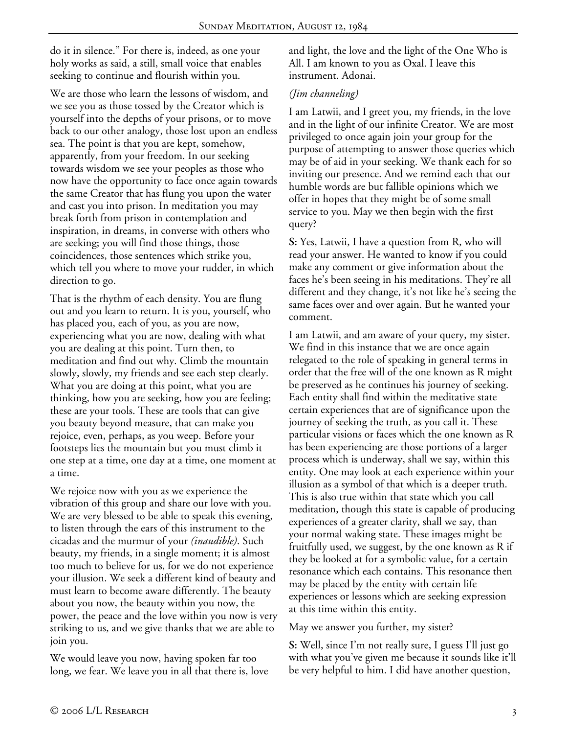do it in silence." For there is, indeed, as one your holy works as said, a still, small voice that enables seeking to continue and flourish within you.

We are those who learn the lessons of wisdom, and we see you as those tossed by the Creator which is yourself into the depths of your prisons, or to move back to our other analogy, those lost upon an endless sea. The point is that you are kept, somehow, apparently, from your freedom. In our seeking towards wisdom we see your peoples as those who now have the opportunity to face once again towards the same Creator that has flung you upon the water and cast you into prison. In meditation you may break forth from prison in contemplation and inspiration, in dreams, in converse with others who are seeking; you will find those things, those coincidences, those sentences which strike you, which tell you where to move your rudder, in which direction to go.

That is the rhythm of each density. You are flung out and you learn to return. It is you, yourself, who has placed you, each of you, as you are now, experiencing what you are now, dealing with what you are dealing at this point. Turn then, to meditation and find out why. Climb the mountain slowly, slowly, my friends and see each step clearly. What you are doing at this point, what you are thinking, how you are seeking, how you are feeling; these are your tools. These are tools that can give you beauty beyond measure, that can make you rejoice, even, perhaps, as you weep. Before your footsteps lies the mountain but you must climb it one step at a time, one day at a time, one moment at a time.

We rejoice now with you as we experience the vibration of this group and share our love with you. We are very blessed to be able to speak this evening, to listen through the ears of this instrument to the cicadas and the murmur of your *(inaudible)*. Such beauty, my friends, in a single moment; it is almost too much to believe for us, for we do not experience your illusion. We seek a different kind of beauty and must learn to become aware differently. The beauty about you now, the beauty within you now, the power, the peace and the love within you now is very striking to us, and we give thanks that we are able to join you.

We would leave you now, having spoken far too long, we fear. We leave you in all that there is, love

and light, the love and the light of the One Who is All. I am known to you as Oxal. I leave this instrument. Adonai.

## *(Jim channeling)*

I am Latwii, and I greet you, my friends, in the love and in the light of our infinite Creator. We are most privileged to once again join your group for the purpose of attempting to answer those queries which may be of aid in your seeking. We thank each for so inviting our presence. And we remind each that our humble words are but fallible opinions which we offer in hopes that they might be of some small service to you. May we then begin with the first query?

**S:** Yes, Latwii, I have a question from R, who will read your answer. He wanted to know if you could make any comment or give information about the faces he's been seeing in his meditations. They're all different and they change, it's not like he's seeing the same faces over and over again. But he wanted your comment.

I am Latwii, and am aware of your query, my sister. We find in this instance that we are once again relegated to the role of speaking in general terms in order that the free will of the one known as R might be preserved as he continues his journey of seeking. Each entity shall find within the meditative state certain experiences that are of significance upon the journey of seeking the truth, as you call it. These particular visions or faces which the one known as R has been experiencing are those portions of a larger process which is underway, shall we say, within this entity. One may look at each experience within your illusion as a symbol of that which is a deeper truth. This is also true within that state which you call meditation, though this state is capable of producing experiences of a greater clarity, shall we say, than your normal waking state. These images might be fruitfully used, we suggest, by the one known as R if they be looked at for a symbolic value, for a certain resonance which each contains. This resonance then may be placed by the entity with certain life experiences or lessons which are seeking expression at this time within this entity.

May we answer you further, my sister?

**S:** Well, since I'm not really sure, I guess I'll just go with what you've given me because it sounds like it'll be very helpful to him. I did have another question,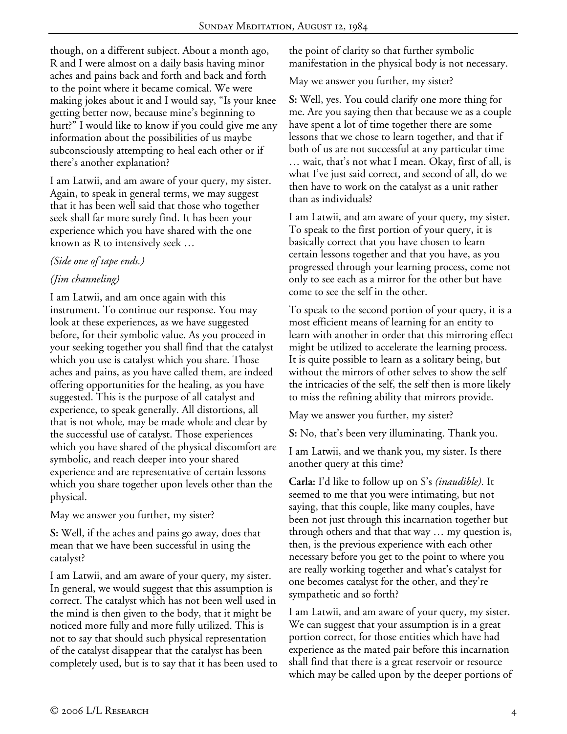though, on a different subject. About a month ago, R and I were almost on a daily basis having minor aches and pains back and forth and back and forth to the point where it became comical. We were making jokes about it and I would say, "Is your knee getting better now, because mine's beginning to hurt?" I would like to know if you could give me any information about the possibilities of us maybe subconsciously attempting to heal each other or if there's another explanation?

I am Latwii, and am aware of your query, my sister. Again, to speak in general terms, we may suggest that it has been well said that those who together seek shall far more surely find. It has been your experience which you have shared with the one known as R to intensively seek …

# *(Side one of tape ends.)*

# *(Jim channeling)*

I am Latwii, and am once again with this instrument. To continue our response. You may look at these experiences, as we have suggested before, for their symbolic value. As you proceed in your seeking together you shall find that the catalyst which you use is catalyst which you share. Those aches and pains, as you have called them, are indeed offering opportunities for the healing, as you have suggested. This is the purpose of all catalyst and experience, to speak generally. All distortions, all that is not whole, may be made whole and clear by the successful use of catalyst. Those experiences which you have shared of the physical discomfort are symbolic, and reach deeper into your shared experience and are representative of certain lessons which you share together upon levels other than the physical.

May we answer you further, my sister?

**S:** Well, if the aches and pains go away, does that mean that we have been successful in using the catalyst?

I am Latwii, and am aware of your query, my sister. In general, we would suggest that this assumption is correct. The catalyst which has not been well used in the mind is then given to the body, that it might be noticed more fully and more fully utilized. This is not to say that should such physical representation of the catalyst disappear that the catalyst has been completely used, but is to say that it has been used to the point of clarity so that further symbolic manifestation in the physical body is not necessary.

May we answer you further, my sister?

**S:** Well, yes. You could clarify one more thing for me. Are you saying then that because we as a couple have spent a lot of time together there are some lessons that we chose to learn together, and that if both of us are not successful at any particular time … wait, that's not what I mean. Okay, first of all, is what I've just said correct, and second of all, do we then have to work on the catalyst as a unit rather than as individuals?

I am Latwii, and am aware of your query, my sister. To speak to the first portion of your query, it is basically correct that you have chosen to learn certain lessons together and that you have, as you progressed through your learning process, come not only to see each as a mirror for the other but have come to see the self in the other.

To speak to the second portion of your query, it is a most efficient means of learning for an entity to learn with another in order that this mirroring effect might be utilized to accelerate the learning process. It is quite possible to learn as a solitary being, but without the mirrors of other selves to show the self the intricacies of the self, the self then is more likely to miss the refining ability that mirrors provide.

May we answer you further, my sister?

**S:** No, that's been very illuminating. Thank you.

I am Latwii, and we thank you, my sister. Is there another query at this time?

**Carla:** I'd like to follow up on S's *(inaudible)*. It seemed to me that you were intimating, but not saying, that this couple, like many couples, have been not just through this incarnation together but through others and that that way … my question is, then, is the previous experience with each other necessary before you get to the point to where you are really working together and what's catalyst for one becomes catalyst for the other, and they're sympathetic and so forth?

I am Latwii, and am aware of your query, my sister. We can suggest that your assumption is in a great portion correct, for those entities which have had experience as the mated pair before this incarnation shall find that there is a great reservoir or resource which may be called upon by the deeper portions of